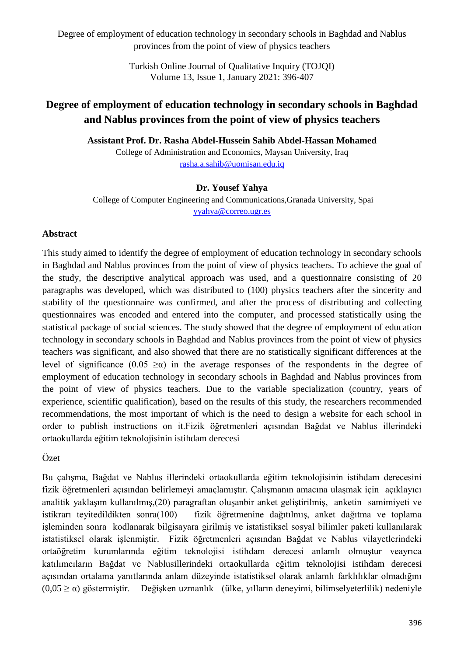> Turkish Online Journal of Qualitative Inquiry (TOJQI) Volume 13, Issue 1, January 2021: 396-407

# **Degree of employment of education technology in secondary schools in Baghdad and Nablus provinces from the point of view of physics teachers**

**Assistant Prof. Dr. Rasha Abdel-Hussein Sahib Abdel-Hassan Mohamed**

College of Administration and Economics, Maysan University, Iraq [rasha.a.sahib@uomisan.edu.iq](mailto:rasha.a.sahib@uomisan.edu.iq)

#### **Dr. Yousef Yahya**

College of Computer Engineering and Communications,Granada University, Spai [yyahya@correo.ugr.es](mailto:yyahya@correo.ugr.es)

#### **Abstract**

This study aimed to identify the degree of employment of education technology in secondary schools in Baghdad and Nablus provinces from the point of view of physics teachers. To achieve the goal of the study, the descriptive analytical approach was used, and a questionnaire consisting of 20 paragraphs was developed, which was distributed to (100) physics teachers after the sincerity and stability of the questionnaire was confirmed, and after the process of distributing and collecting questionnaires was encoded and entered into the computer, and processed statistically using the statistical package of social sciences. The study showed that the degree of employment of education technology in secondary schools in Baghdad and Nablus provinces from the point of view of physics teachers was significant, and also showed that there are no statistically significant differences at the level of significance  $(0.05 \ge \alpha)$  in the average responses of the respondents in the degree of employment of education technology in secondary schools in Baghdad and Nablus provinces from the point of view of physics teachers. Due to the variable specialization (country, years of experience, scientific qualification), based on the results of this study, the researchers recommended recommendations, the most important of which is the need to design a website for each school in order to publish instructions on it.Fizik öğretmenleri açısından Bağdat ve Nablus illerindeki ortaokullarda eğitim teknolojisinin istihdam derecesi

Özet

Bu çalışma, Bağdat ve Nablus illerindeki ortaokullarda eğitim teknolojisinin istihdam derecesini fizik öğretmenleri açısından belirlemeyi amaçlamıştır. Çalışmanın amacına ulaşmak için açıklayıcı analitik yaklaşım kullanılmış,(20) paragraftan oluşanbir anket geliştirilmiş, anketin samimiyeti ve istikrarı teyitedildikten sonra(100) fizik öğretmenine dağıtılmış, anket dağıtma ve toplama işleminden sonra kodlanarak bilgisayara girilmiş ve istatistiksel sosyal bilimler paketi kullanılarak istatistiksel olarak işlenmiştir. Fizik öğretmenleri açısından Bağdat ve Nablus vilayetlerindeki ortaöğretim kurumlarında eğitim teknolojisi istihdam derecesi anlamlı olmuştur veayrıca katılımcıların Bağdat ve Nablusillerindeki ortaokullarda eğitim teknolojisi istihdam derecesi açısından ortalama yanıtlarında anlam düzeyinde istatistiksel olarak anlamlı farklılıklar olmadığını (0,05 ≥ α) göstermiştir. Değişken uzmanlık (ülke, yılların deneyimi, bilimselyeterlilik) nedeniyle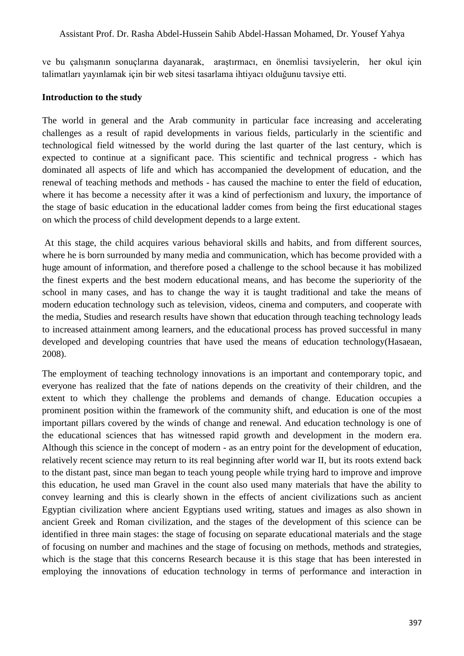ve bu çalışmanın sonuçlarına dayanarak, araştırmacı, en önemlisi tavsiyelerin, her okul için talimatları yayınlamak için bir web sitesi tasarlama ihtiyacı olduğunu tavsiye etti.

#### **Introduction to the study**

The world in general and the Arab community in particular face increasing and accelerating challenges as a result of rapid developments in various fields, particularly in the scientific and technological field witnessed by the world during the last quarter of the last century, which is expected to continue at a significant pace. This scientific and technical progress - which has dominated all aspects of life and which has accompanied the development of education, and the renewal of teaching methods and methods - has caused the machine to enter the field of education, where it has become a necessity after it was a kind of perfectionism and luxury, the importance of the stage of basic education in the educational ladder comes from being the first educational stages on which the process of child development depends to a large extent.

At this stage, the child acquires various behavioral skills and habits, and from different sources, where he is born surrounded by many media and communication, which has become provided with a huge amount of information, and therefore posed a challenge to the school because it has mobilized the finest experts and the best modern educational means, and has become the superiority of the school in many cases, and has to change the way it is taught traditional and take the means of modern education technology such as television, videos, cinema and computers, and cooperate with the media, Studies and research results have shown that education through teaching technology leads to increased attainment among learners, and the educational process has proved successful in many developed and developing countries that have used the means of education technology (Hasaean, 2008).

The employment of teaching technology innovations is an important and contemporary topic, and everyone has realized that the fate of nations depends on the creativity of their children, and the extent to which they challenge the problems and demands of change. Education occupies a prominent position within the framework of the community shift, and education is one of the most important pillars covered by the winds of change and renewal. And education technology is one of the educational sciences that has witnessed rapid growth and development in the modern era. Although this science in the concept of modern - as an entry point for the development of education, relatively recent science may return to its real beginning after world war II, but its roots extend back to the distant past, since man began to teach young people while trying hard to improve and improve this education, he used man Gravel in the count also used many materials that have the ability to convey learning and this is clearly shown in the effects of ancient civilizations such as ancient Egyptian civilization where ancient Egyptians used writing, statues and images as also shown in ancient Greek and Roman civilization, and the stages of the development of this science can be identified in three main stages: the stage of focusing on separate educational materials and the stage of focusing on number and machines and the stage of focusing on methods, methods and strategies, which is the stage that this concerns Research because it is this stage that has been interested in employing the innovations of education technology in terms of performance and interaction in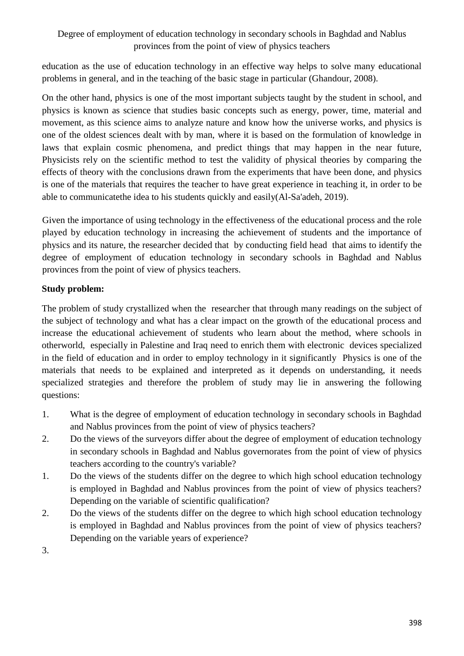education as the use of education technology in an effective way helps to solve many educational problems in general, and in the teaching of the basic stage in particular (Ghandour, 2008).

On the other hand, physics is one of the most important subjects taught by the student in school, and physics is known as science that studies basic concepts such as energy, power, time, material and movement, as this science aims to analyze nature and know how the universe works, and physics is one of the oldest sciences dealt with by man, where it is based on the formulation of knowledge in laws that explain cosmic phenomena, and predict things that may happen in the near future, Physicists rely on the scientific method to test the validity of physical theories by comparing the effects of theory with the conclusions drawn from the experiments that have been done, and physics is one of the materials that requires the teacher to have great experience in teaching it, in order to be able to communicatethe idea to his students quickly and easily(Al-Sa'adeh, 2019).

Given the importance of using technology in the effectiveness of the educational process and the role played by education technology in increasing the achievement of students and the importance of physics and its nature, the researcher decided that by conducting field head that aims to identify the degree of employment of education technology in secondary schools in Baghdad and Nablus provinces from the point of view of physics teachers.

### **Study problem:**

The problem of study crystallized when the researcher that through many readings on the subject of the subject of technology and what has a clear impact on the growth of the educational process and increase the educational achievement of students who learn about the method, where schools in otherworld, especially in Palestine and Iraq need to enrich them with electronic devices specialized in the field of education and in order to employ technology in it significantly Physics is one of the materials that needs to be explained and interpreted as it depends on understanding, it needs specialized strategies and therefore the problem of study may lie in answering the following questions:

- 1. What is the degree of employment of education technology in secondary schools in Baghdad and Nablus provinces from the point of view of physics teachers?
- 2. Do the views of the surveyors differ about the degree of employment of education technology in secondary schools in Baghdad and Nablus governorates from the point of view of physics teachers according to the country's variable?
- 1. Do the views of the students differ on the degree to which high school education technology is employed in Baghdad and Nablus provinces from the point of view of physics teachers? Depending on the variable of scientific qualification?
- 2. Do the views of the students differ on the degree to which high school education technology is employed in Baghdad and Nablus provinces from the point of view of physics teachers? Depending on the variable years of experience?

3.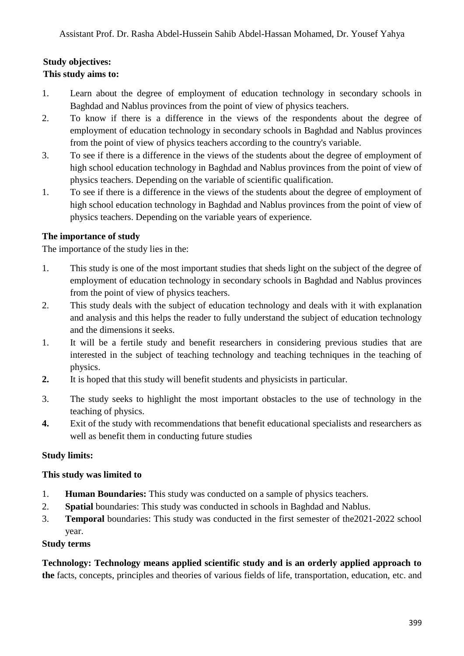# **Study objectives: This study aims to:**

- 1. Learn about the degree of employment of education technology in secondary schools in Baghdad and Nablus provinces from the point of view of physics teachers.
- 2. To know if there is a difference in the views of the respondents about the degree of employment of education technology in secondary schools in Baghdad and Nablus provinces from the point of view of physics teachers according to the country's variable.
- 3. To see if there is a difference in the views of the students about the degree of employment of high school education technology in Baghdad and Nablus provinces from the point of view of physics teachers. Depending on the variable of scientific qualification.
- 1. To see if there is a difference in the views of the students about the degree of employment of high school education technology in Baghdad and Nablus provinces from the point of view of physics teachers. Depending on the variable years of experience.

### **The importance of study**

The importance of the study lies in the:

- 1. This study is one of the most important studies that sheds light on the subject of the degree of employment of education technology in secondary schools in Baghdad and Nablus provinces from the point of view of physics teachers.
- 2. This study deals with the subject of education technology and deals with it with explanation and analysis and this helps the reader to fully understand the subject of education technology and the dimensions it seeks.
- 1. It will be a fertile study and benefit researchers in considering previous studies that are interested in the subject of teaching technology and teaching techniques in the teaching of physics.
- **2.** It is hoped that this study will benefit students and physicists in particular.
- 3. The study seeks to highlight the most important obstacles to the use of technology in the teaching of physics.
- **4.** Exit of the study with recommendations that benefit educational specialists and researchers as well as benefit them in conducting future studies

### **Study limits:**

#### **This study was limited to**

- 1. **Human Boundaries:** This study was conducted on a sample of physics teachers.
- 2. **Spatial** boundaries: This study was conducted in schools in Baghdad and Nablus.
- 3. **Temporal** boundaries: This study was conducted in the first semester of the2021-2022 school year.

#### **Study terms**

**Technology: Technology means applied scientific study and is an orderly applied approach to the** facts, concepts, principles and theories of various fields of life, transportation, education, etc. and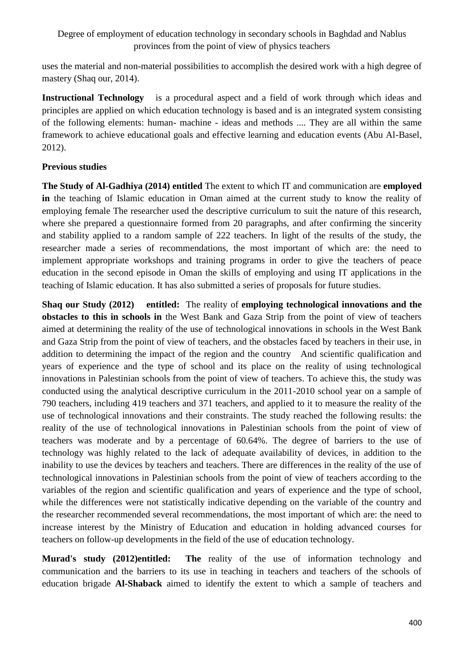uses the material and non-material possibilities to accomplish the desired work with a high degree of mastery (Shaq our, 2014).

**Instructional Technology** is a procedural aspect and a field of work through which ideas and principles are applied on which education technology is based and is an integrated system consisting of the following elements: human- machine - ideas and methods .... They are all within the same framework to achieve educational goals and effective learning and education events (Abu Al-Basel, 2012).

#### **Previous studies**

**The Study of Al-Gadhiya (2014) entitled** The extent to which IT and communication are **employed in** the teaching of Islamic education in Oman aimed at the current study to know the reality of employing female The researcher used the descriptive curriculum to suit the nature of this research, where she prepared a questionnaire formed from 20 paragraphs, and after confirming the sincerity and stability applied to a random sample of 222 teachers. In light of the results of the study, the researcher made a series of recommendations, the most important of which are: the need to implement appropriate workshops and training programs in order to give the teachers of peace education in the second episode in Oman the skills of employing and using IT applications in the teaching of Islamic education. It has also submitted a series of proposals for future studies.

**Shaq our Study (2012) entitled:** The reality of **employing technological innovations and the obstacles to this in schools in** the West Bank and Gaza Strip from the point of view of teachers aimed at determining the reality of the use of technological innovations in schools in the West Bank and Gaza Strip from the point of view of teachers, and the obstacles faced by teachers in their use, in addition to determining the impact of the region and the country And scientific qualification and years of experience and the type of school and its place on the reality of using technological innovations in Palestinian schools from the point of view of teachers. To achieve this, the study was conducted using the analytical descriptive curriculum in the 2011-2010 school year on a sample of 790 teachers, including 419 teachers and 371 teachers, and applied to it to measure the reality of the use of technological innovations and their constraints. The study reached the following results: the reality of the use of technological innovations in Palestinian schools from the point of view of teachers was moderate and by a percentage of 60.64%. The degree of barriers to the use of technology was highly related to the lack of adequate availability of devices, in addition to the inability to use the devices by teachers and teachers. There are differences in the reality of the use of technological innovations in Palestinian schools from the point of view of teachers according to the variables of the region and scientific qualification and years of experience and the type of school, while the differences were not statistically indicative depending on the variable of the country and the researcher recommended several recommendations, the most important of which are: the need to increase interest by the Ministry of Education and education in holding advanced courses for teachers on follow-up developments in the field of the use of education technology.

**Murad's study (2012)entitled: The** reality of the use of information technology and communication and the barriers to its use in teaching in teachers and teachers of the schools of education brigade **Al-Shaback** aimed to identify the extent to which a sample of teachers and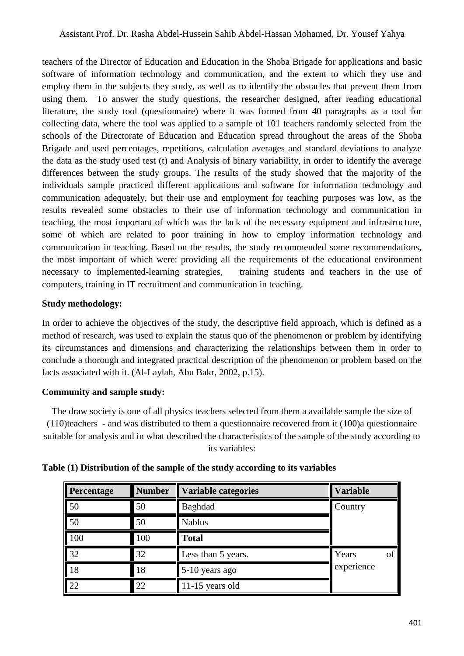teachers of the Director of Education and Education in the Shoba Brigade for applications and basic software of information technology and communication, and the extent to which they use and employ them in the subjects they study, as well as to identify the obstacles that prevent them from using them. To answer the study questions, the researcher designed, after reading educational literature, the study tool (questionnaire) where it was formed from 40 paragraphs as a tool for collecting data, where the tool was applied to a sample of 101 teachers randomly selected from the schools of the Directorate of Education and Education spread throughout the areas of the Shoba Brigade and used percentages, repetitions, calculation averages and standard deviations to analyze the data as the study used test (t) and Analysis of binary variability, in order to identify the average differences between the study groups. The results of the study showed that the majority of the individuals sample practiced different applications and software for information technology and communication adequately, but their use and employment for teaching purposes was low, as the results revealed some obstacles to their use of information technology and communication in teaching, the most important of which was the lack of the necessary equipment and infrastructure, some of which are related to poor training in how to employ information technology and communication in teaching. Based on the results, the study recommended some recommendations, the most important of which were: providing all the requirements of the educational environment necessary to implemented-learning strategies, training students and teachers in the use of computers, training in IT recruitment and communication in teaching.

### **Study methodology:**

In order to achieve the objectives of the study, the descriptive field approach, which is defined as a method of research, was used to explain the status quo of the phenomenon or problem by identifying its circumstances and dimensions and characterizing the relationships between them in order to conclude a thorough and integrated practical description of the phenomenon or problem based on the facts associated with it. (Al-Laylah, Abu Bakr, 2002, p.15).

### **Community and sample study:**

The draw society is one of all physics teachers selected from them a available sample the size of (110)teachers - and was distributed to them a questionnaire recovered from it (100)a questionnaire suitable for analysis and in what described the characteristics of the sample of the study according to its variables:

| Percentage      | <b>Number</b> | <b>Variable categories</b> | <b>Variable</b> |  |
|-----------------|---------------|----------------------------|-----------------|--|
| 50              | 50            | Baghdad                    | Country         |  |
| 50              | 50            | <b>Nablus</b>              |                 |  |
| 100             | 100           | <b>Total</b>               |                 |  |
| $\overline{32}$ | 32            | Less than 5 years.         | Years<br>of     |  |
| 18              | 18            | 5-10 years ago             | experience      |  |
| 22              | 22            | 11-15 years old            |                 |  |

#### **Table (1) Distribution of the sample of the study according to its variables**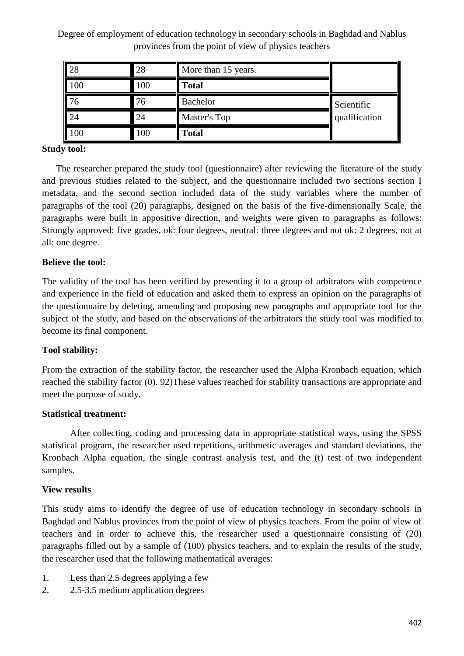| 28  | 28  | More than 15 years. |               |
|-----|-----|---------------------|---------------|
| 100 | 100 | <b>Total</b>        |               |
| 76  | 76  | <b>Bachelor</b>     | Scientific    |
| 24  | 24  | Master's Top        | qualification |
| 100 | 100 | <b>Total</b>        |               |

# **Study tool:**

The researcher prepared the study tool (questionnaire) after reviewing the literature of the study and previous studies related to the subject, and the questionnaire included two sections section I metadata, and the second section included data of the study variables where the number of paragraphs of the tool (20) paragraphs, designed on the basis of the five-dimensionally Scale, the paragraphs were built in appositive direction, and weights were given to paragraphs as follows: Strongly approved: five grades, ok: four degrees, neutral: three degrees and not ok: 2 degrees, not at all: one degree.

### **Believe the tool:**

The validity of the tool has been verified by presenting it to a group of arbitrators with competence and experience in the field of education and asked them to express an opinion on the paragraphs of the questionnaire by deleting, amending and proposing new paragraphs and appropriate tool for the subject of the study, and based on the observations of the arbitrators the study tool was modified to become its final component.

### **Tool stability:**

From the extraction of the stability factor, the researcher used the Alpha Kronbach equation, which reached the stability factor (0). 92)These values reached for stability transactions are appropriate and meet the purpose of study.

### **Statistical treatment:**

After collecting, coding and processing data in appropriate statistical ways, using the SPSS statistical program, the researcher used repetitions, arithmetic averages and standard deviations, the Kronbach Alpha equation, the single contrast analysis test, and the (t) test of two independent samples.

### **View results**

This study aims to identify the degree of use of education technology in secondary schools in Baghdad and Nablus provinces from the point of view of physics teachers. From the point of view of teachers and in order to achieve this, the researcher used a questionnaire consisting of (20) paragraphs filled out by a sample of (100) physics teachers, and to explain the results of the study, the researcher used that the following mathematical averages:

- 1. Less than 2.5 degrees applying a few
- 2. 2.5-3.5 medium application degrees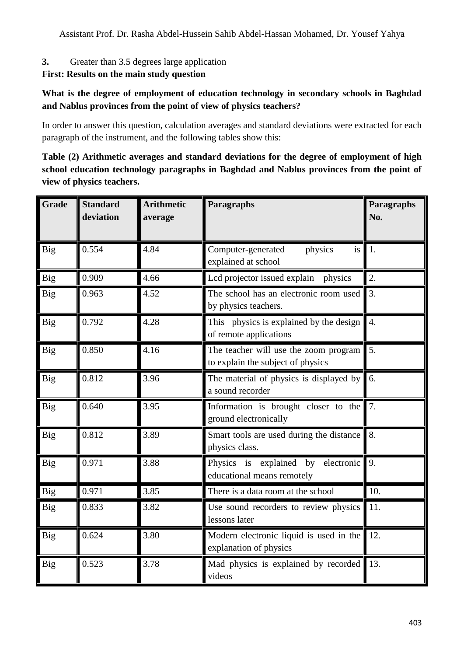# **3.** Greater than 3.5 degrees large application

# **First: Results on the main study question**

### **What is the degree of employment of education technology in secondary schools in Baghdad and Nablus provinces from the point of view of physics teachers?**

In order to answer this question, calculation averages and standard deviations were extracted for each paragraph of the instrument, and the following tables show this:

# **Table (2) Arithmetic averages and standard deviations for the degree of employment of high school education technology paragraphs in Baghdad and Nablus provinces from the point of view of physics teachers.**

| <b>Grade</b> | <b>Standard</b><br>deviation | <b>Arithmetic</b><br>average | Paragraphs                                                                 | Paragraphs<br>No. |
|--------------|------------------------------|------------------------------|----------------------------------------------------------------------------|-------------------|
| <b>Big</b>   | 0.554                        | 4.84                         | Computer-generated<br>physics<br>is<br>explained at school                 | 1.                |
| <b>Big</b>   | 0.909                        | 4.66                         | Lcd projector issued explain<br>physics                                    | 2.                |
| <b>Big</b>   | 0.963                        | 4.52                         | The school has an electronic room used<br>by physics teachers.             | $\overline{3}$ .  |
| <b>Big</b>   | 0.792                        | 4.28                         | This physics is explained by the design<br>of remote applications          | $\overline{4}$ .  |
| Big          | 0.850                        | 4.16                         | The teacher will use the zoom program<br>to explain the subject of physics | 5.                |
| <b>Big</b>   | 0.812                        | 3.96                         | The material of physics is displayed by<br>a sound recorder                | 6.                |
| Big          | 0.640                        | 3.95                         | Information is brought closer to the<br>ground electronically              | 7.                |
| <b>Big</b>   | 0.812                        | 3.89                         | Smart tools are used during the distance<br>physics class.                 | 8.                |
| <b>Big</b>   | 0.971                        | 3.88                         | Physics is explained by<br>electronic<br>educational means remotely        | 9.                |
| <b>Big</b>   | 0.971                        | 3.85                         | There is a data room at the school                                         | 10.               |
| <b>Big</b>   | 0.833                        | 3.82                         | Use sound recorders to review physics<br>lessons later                     | 11.               |
| <b>Big</b>   | 0.624                        | 3.80                         | Modern electronic liquid is used in the<br>explanation of physics          | 12.               |
| <b>Big</b>   | 0.523                        | 3.78                         | Mad physics is explained by recorded<br>videos                             | 13.               |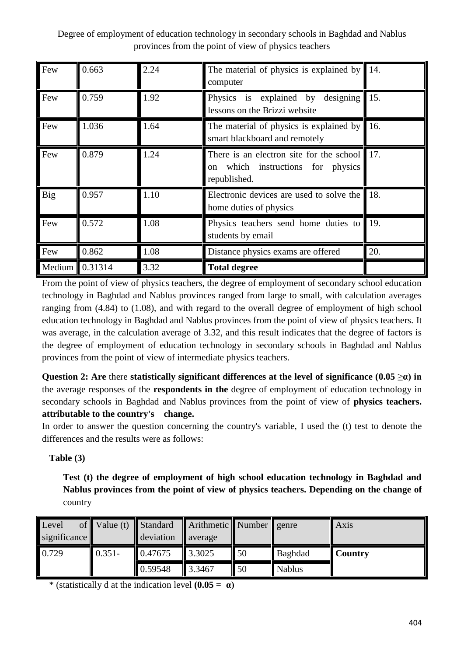| Few            | 0.663 | 2.24 | The material of physics is explained by<br>computer                                                  | $\blacksquare$ 14. |
|----------------|-------|------|------------------------------------------------------------------------------------------------------|--------------------|
| Few            | 0.759 | 1.92 | designing $\vert$ 15.<br>Physics is explained by<br>lessons on the Brizzi website                    |                    |
| Few            | 1.036 | 1.64 | The material of physics is explained by<br>smart blackboard and remotely                             | 16.                |
| Few            | 0.879 | 1.24 | There is an electron site for the school 17.<br>which instructions for physics<br>on<br>republished. |                    |
| Big            | 0.957 | 1.10 | Electronic devices are used to solve the 18.<br>home duties of physics                               |                    |
| Few            | 0.572 | 1.08 | Physics teachers send home duties to 19.<br>students by email                                        |                    |
| Few            | 0.862 | 1.08 | Distance physics exams are offered                                                                   | 20.                |
| Medium 0.31314 |       | 3.32 | <b>Total degree</b>                                                                                  |                    |

From the point of view of physics teachers, the degree of employment of secondary school education technology in Baghdad and Nablus provinces ranged from large to small, with calculation averages ranging from (4.84) to (1.08), and with regard to the overall degree of employment of high school education technology in Baghdad and Nablus provinces from the point of view of physics teachers. It was average, in the calculation average of 3.32, and this result indicates that the degree of factors is the degree of employment of education technology in secondary schools in Baghdad and Nablus provinces from the point of view of intermediate physics teachers.

**Question 2:** Are there **statistically significant differences at the level of significance (0.05**  $\geq \alpha$ **) in** the average responses of the **respondents in the** degree of employment of education technology in secondary schools in Baghdad and Nablus provinces from the point of view of **physics teachers. attributable to the country's change.**

In order to answer the question concerning the country's variable, I used the (t) test to denote the differences and the results were as follows:

# **Table (3)**

**Test (t) the degree of employment of high school education technology in Baghdad and Nablus provinces from the point of view of physics teachers. Depending on the change of**  country

| Level<br>significance | of $Value(t)$ Standard | deviation | Arithmetic Number genre<br>average |    |               | <b>Axis</b>    |
|-----------------------|------------------------|-----------|------------------------------------|----|---------------|----------------|
| 0.729                 | $0.351 -$              | 0.47675   | 3.3025                             | 50 | Baghdad       | <b>Country</b> |
|                       |                        | 0.59548   | 3.3467                             | 50 | <b>Nablus</b> |                |

\* (statistically d at the indication level **(0.05 = α)**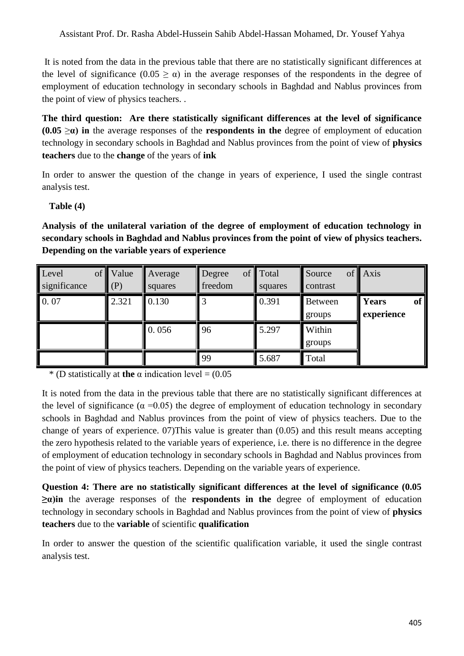It is noted from the data in the previous table that there are no statistically significant differences at the level of significance  $(0.05 \ge \alpha)$  in the average responses of the respondents in the degree of employment of education technology in secondary schools in Baghdad and Nablus provinces from the point of view of physics teachers. .

**The third question: Are there statistically significant differences at the level of significance (0.05**  $\geq \alpha$ **) in** the average responses of the **respondents in the** degree of employment of education technology in secondary schools in Baghdad and Nablus provinces from the point of view of **physics teachers** due to the **change** of the years of **ink**

In order to answer the question of the change in years of experience, I used the single contrast analysis test.

### **Table (4)**

**Analysis of the unilateral variation of the degree of employment of education technology in secondary schools in Baghdad and Nablus provinces from the point of view of physics teachers. Depending on the variable years of experience**

| Level<br>of <sup>1</sup><br>significance | Value<br>(P) | Average<br>squares | Degree<br>freedom | of Total<br>squares | Source<br>contrast | of Axis                   |
|------------------------------------------|--------------|--------------------|-------------------|---------------------|--------------------|---------------------------|
| 0.07                                     | 2.321        | 0.130              | 3                 | 0.391               | Between<br>groups  | of<br>Years<br>experience |
|                                          |              | 0.056              | 96                | 5.297               | Within<br>groups   |                           |
|                                          |              |                    | 99                | 5.687               | Total              |                           |

\* (D statistically at **the**  $\alpha$  indication level = (0.05)

It is noted from the data in the previous table that there are no statistically significant differences at the level of significance ( $\alpha$  =0.05) the degree of employment of education technology in secondary schools in Baghdad and Nablus provinces from the point of view of physics teachers. Due to the change of years of experience. 07)This value is greater than (0.05) and this result means accepting the zero hypothesis related to the variable years of experience, i.e. there is no difference in the degree of employment of education technology in secondary schools in Baghdad and Nablus provinces from the point of view of physics teachers. Depending on the variable years of experience.

**Question 4: There are no statistically significant differences at the level of significance (0.05 ≥α)in** the average responses of the **respondents in the** degree of employment of education technology in secondary schools in Baghdad and Nablus provinces from the point of view of **physics teachers** due to the **variable** of scientific **qualification**

In order to answer the question of the scientific qualification variable, it used the single contrast analysis test.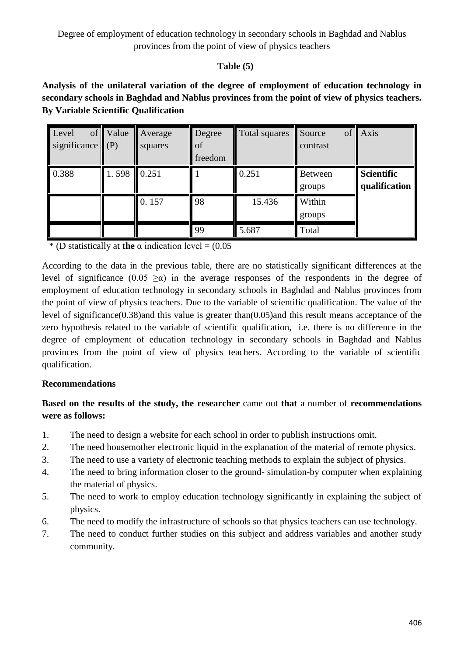# **Table (5)**

**Analysis of the unilateral variation of the degree of employment of education technology in secondary schools in Baghdad and Nablus provinces from the point of view of physics teachers. By Variable Scientific Qualification**

| Level<br>significance $(P)$ | of Value | Average<br>squares | Degree<br>of<br>freedom | Total squares | Source<br>contrast       | of Axis                     |
|-----------------------------|----------|--------------------|-------------------------|---------------|--------------------------|-----------------------------|
| 0.388                       | 1.598    | 0.251              |                         | 0.251         | <b>Between</b><br>groups | Scientific<br>qualification |
|                             |          | 0.157              | 98                      | 15.436        | Within<br>groups         |                             |
|                             |          |                    | 99                      | 5.687         | Total                    |                             |

 $*$  (D statistically at **the**  $\alpha$  indication level = (0.05)

According to the data in the previous table, there are no statistically significant differences at the level of significance  $(0.05 \ge \alpha)$  in the average responses of the respondents in the degree of employment of education technology in secondary schools in Baghdad and Nablus provinces from the point of view of physics teachers. Due to the variable of scientific qualification. The value of the level of significance(0.38)and this value is greater than(0.05)and this result means acceptance of the zero hypothesis related to the variable of scientific qualification, i.e. there is no difference in the degree of employment of education technology in secondary schools in Baghdad and Nablus provinces from the point of view of physics teachers. According to the variable of scientific qualification.

### **Recommendations**

# **Based on the results of the study, the researcher** came out **that** a number of **recommendations were as follows:**

- 1. The need to design a website for each school in order to publish instructions omit.
- 2. The need housemother electronic liquid in the explanation of the material of remote physics.
- 3. The need to use a variety of electronic teaching methods to explain the subject of physics.
- 4. The need to bring information closer to the ground- simulation-by computer when explaining the material of physics.
- 5. The need to work to employ education technology significantly in explaining the subject of physics.
- 6. The need to modify the infrastructure of schools so that physics teachers can use technology.
- 7. The need to conduct further studies on this subject and address variables and another study community.